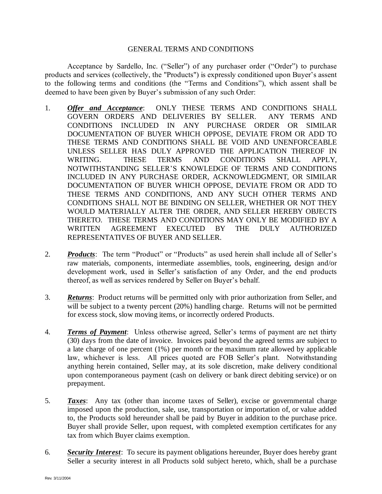## GENERAL TERMS AND CONDITIONS

Acceptance by Sardello, Inc. ("Seller") of any purchaser order ("Order") to purchase products and services (collectively, the "Products") is expressly conditioned upon Buyer's assent to the following terms and conditions (the "Terms and Conditions"), which assent shall be deemed to have been given by Buyer's submission of any such Order:

- 1. *Offer and Acceptance*: ONLY THESE TERMS AND CONDITIONS SHALL GOVERN ORDERS AND DELIVERIES BY SELLER. ANY TERMS AND CONDITIONS INCLUDED IN ANY PURCHASE ORDER OR SIMILAR DOCUMENTATION OF BUYER WHICH OPPOSE, DEVIATE FROM OR ADD TO THESE TERMS AND CONDITIONS SHALL BE VOID AND UNENFORCEABLE UNLESS SELLER HAS DULY APPROVED THE APPLICATION THEREOF IN WRITING. THESE TERMS AND CONDITIONS SHALL APPLY, NOTWITHSTANDING SELLER'S KNOWLEDGE OF TERMS AND CONDITIONS INCLUDED IN ANY PURCHASE ORDER, ACKNOWLEDGMENT, OR SIMILAR DOCUMENTATION OF BUYER WHICH OPPOSE, DEVIATE FROM OR ADD TO THESE TERMS AND CONDITIONS, AND ANY SUCH OTHER TERMS AND CONDITIONS SHALL NOT BE BINDING ON SELLER, WHETHER OR NOT THEY WOULD MATERIALLY ALTER THE ORDER, AND SELLER HEREBY OBJECTS THERETO. THESE TERMS AND CONDITIONS MAY ONLY BE MODIFIED BY A WRITTEN AGREEMENT EXECUTED BY THE DULY AUTHORIZED REPRESENTATIVES OF BUYER AND SELLER.
- 2. **Products**: The term "Product" or "Products" as used herein shall include all of Seller's raw materials, components, intermediate assemblies, tools, engineering, design and/or development work, used in Seller's satisfaction of any Order, and the end products thereof, as well as services rendered by Seller on Buyer's behalf.
- 3. *Returns*: Product returns will be permitted only with prior authorization from Seller, and will be subject to a twenty percent (20%) handling charge. Returns will not be permitted for excess stock, slow moving items, or incorrectly ordered Products.
- 4. *Terms of Payment*: Unless otherwise agreed, Seller's terms of payment are net thirty (30) days from the date of invoice. Invoices paid beyond the agreed terms are subject to a late charge of one percent (1%) per month or the maximum rate allowed by applicable law, whichever is less. All prices quoted are FOB Seller's plant. Notwithstanding anything herein contained, Seller may, at its sole discretion, make delivery conditional upon contemporaneous payment (cash on delivery or bank direct debiting service) or on prepayment.
- 5. *Taxes*: Any tax (other than income taxes of Seller), excise or governmental charge imposed upon the production, sale, use, transportation or importation of, or value added to, the Products sold hereunder shall be paid by Buyer in addition to the purchase price. Buyer shall provide Seller, upon request, with completed exemption certificates for any tax from which Buyer claims exemption.
- 6. *Security Interest*:To secure its payment obligations hereunder, Buyer does hereby grant Seller a security interest in all Products sold subject hereto, which, shall be a purchase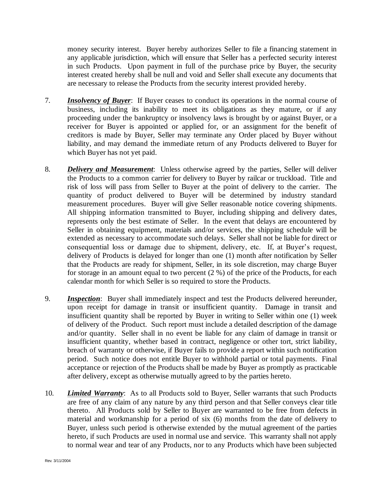money security interest. Buyer hereby authorizes Seller to file a financing statement in any applicable jurisdiction, which will ensure that Seller has a perfected security interest in such Products. Upon payment in full of the purchase price by Buyer, the security interest created hereby shall be null and void and Seller shall execute any documents that are necessary to release the Products from the security interest provided hereby.

- 7. *Insolvency of Buyer*: If Buyer ceases to conduct its operations in the normal course of business, including its inability to meet its obligations as they mature, or if any proceeding under the bankruptcy or insolvency laws is brought by or against Buyer, or a receiver for Buyer is appointed or applied for, or an assignment for the benefit of creditors is made by Buyer, Seller may terminate any Order placed by Buyer without liability, and may demand the immediate return of any Products delivered to Buyer for which Buyer has not yet paid.
- 8. *Delivery and Measurement*: Unless otherwise agreed by the parties, Seller will deliver the Products to a common carrier for delivery to Buyer by railcar or truckload. Title and risk of loss will pass from Seller to Buyer at the point of delivery to the carrier. The quantity of product delivered to Buyer will be determined by industry standard measurement procedures. Buyer will give Seller reasonable notice covering shipments. All shipping information transmitted to Buyer, including shipping and delivery dates, represents only the best estimate of Seller. In the event that delays are encountered by Seller in obtaining equipment, materials and/or services, the shipping schedule will be extended as necessary to accommodate such delays. Seller shall not be liable for direct or consequential loss or damage due to shipment, delivery, etc. If, at Buyer's request, delivery of Products is delayed for longer than one (1) month after notification by Seller that the Products are ready for shipment, Seller, in its sole discretion, may charge Buyer for storage in an amount equal to two percent (2 %) of the price of the Products, for each calendar month for which Seller is so required to store the Products.
- 9. *Inspection*: Buyer shall immediately inspect and test the Products delivered hereunder, upon receipt for damage in transit or insufficient quantity. Damage in transit and insufficient quantity shall be reported by Buyer in writing to Seller within one (1) week of delivery of the Product. Such report must include a detailed description of the damage and/or quantity. Seller shall in no event be liable for any claim of damage in transit or insufficient quantity, whether based in contract, negligence or other tort, strict liability, breach of warranty or otherwise, if Buyer fails to provide a report within such notification period. Such notice does not entitle Buyer to withhold partial or total payments. Final acceptance or rejection of the Products shall be made by Buyer as promptly as practicable after delivery, except as otherwise mutually agreed to by the parties hereto.
- 10. *Limited Warranty*: As to all Products sold to Buyer, Seller warrants that such Products are free of any claim of any nature by any third person and that Seller conveys clear title thereto. All Products sold by Seller to Buyer are warranted to be free from defects in material and workmanship for a period of six (6) months from the date of delivery to Buyer, unless such period is otherwise extended by the mutual agreement of the parties hereto, if such Products are used in normal use and service. This warranty shall not apply to normal wear and tear of any Products, nor to any Products which have been subjected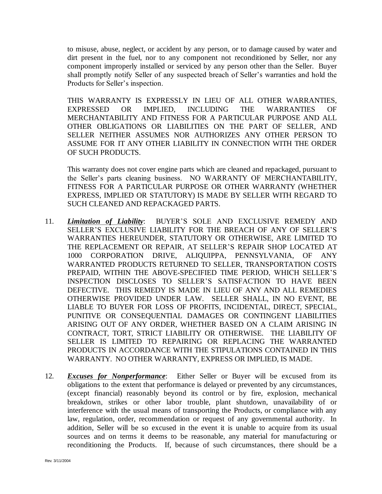to misuse, abuse, neglect, or accident by any person, or to damage caused by water and dirt present in the fuel, nor to any component not reconditioned by Seller, nor any component improperly installed or serviced by any person other than the Seller. Buyer shall promptly notify Seller of any suspected breach of Seller's warranties and hold the Products for Seller's inspection.

THIS WARRANTY IS EXPRESSLY IN LIEU OF ALL OTHER WARRANTIES, EXPRESSED OR IMPLIED, INCLUDING THE WARRANTIES OF MERCHANTABILITY AND FITNESS FOR A PARTICULAR PURPOSE AND ALL OTHER OBLIGATIONS OR LIABILITIES ON THE PART OF SELLER, AND SELLER NEITHER ASSUMES NOR AUTHORIZES ANY OTHER PERSON TO ASSUME FOR IT ANY OTHER LIABILITY IN CONNECTION WITH THE ORDER OF SUCH PRODUCTS.

This warranty does not cover engine parts which are cleaned and repackaged, pursuant to the Seller's parts cleaning business. NO WARRANTY OF MERCHANTABILITY, FITNESS FOR A PARTICULAR PURPOSE OR OTHER WARRANTY (WHETHER EXPRESS, IMPLIED OR STATUTORY) IS MADE BY SELLER WITH REGARD TO SUCH CLEANED AND REPACKAGED PARTS.

- 11. *Limitation of Liability*: BUYER'S SOLE AND EXCLUSIVE REMEDY AND SELLER'S EXCLUSIVE LIABILITY FOR THE BREACH OF ANY OF SELLER'S WARRANTIES HEREUNDER, STATUTORY OR OTHERWISE, ARE LIMITED TO THE REPLACEMENT OR REPAIR, AT SELLER'S REPAIR SHOP LOCATED AT 1000 CORPORATION DRIVE, ALIQUIPPA, PENNSYLVANIA, OF ANY WARRANTED PRODUCTS RETURNED TO SELLER, TRANSPORTATION COSTS PREPAID, WITHIN THE ABOVE-SPECIFIED TIME PERIOD, WHICH SELLER'S INSPECTION DISCLOSES TO SELLER'S SATISFACTION TO HAVE BEEN DEFECTIVE. THIS REMEDY IS MADE IN LIEU OF ANY AND ALL REMEDIES OTHERWISE PROVIDED UNDER LAW. SELLER SHALL, IN NO EVENT, BE LIABLE TO BUYER FOR LOSS OF PROFITS, INCIDENTAL, DIRECT, SPECIAL, PUNITIVE OR CONSEQUENTIAL DAMAGES OR CONTINGENT LIABILITIES ARISING OUT OF ANY ORDER, WHETHER BASED ON A CLAIM ARISING IN CONTRACT, TORT, STRICT LIABILITY OR OTHERWISE. THE LIABILITY OF SELLER IS LIMITED TO REPAIRING OR REPLACING THE WARRANTED PRODUCTS IN ACCORDANCE WITH THE STIPULATIONS CONTAINED IN THIS WARRANTY. NO OTHER WARRANTY, EXPRESS OR IMPLIED, IS MADE.
- 12. *Excuses for Nonperformance*: Either Seller or Buyer will be excused from its obligations to the extent that performance is delayed or prevented by any circumstances, (except financial) reasonably beyond its control or by fire, explosion, mechanical breakdown, strikes or other labor trouble, plant shutdown, unavailability of or interference with the usual means of transporting the Products, or compliance with any law, regulation, order, recommendation or request of any governmental authority. In addition, Seller will be so excused in the event it is unable to acquire from its usual sources and on terms it deems to be reasonable, any material for manufacturing or reconditioning the Products. If, because of such circumstances, there should be a